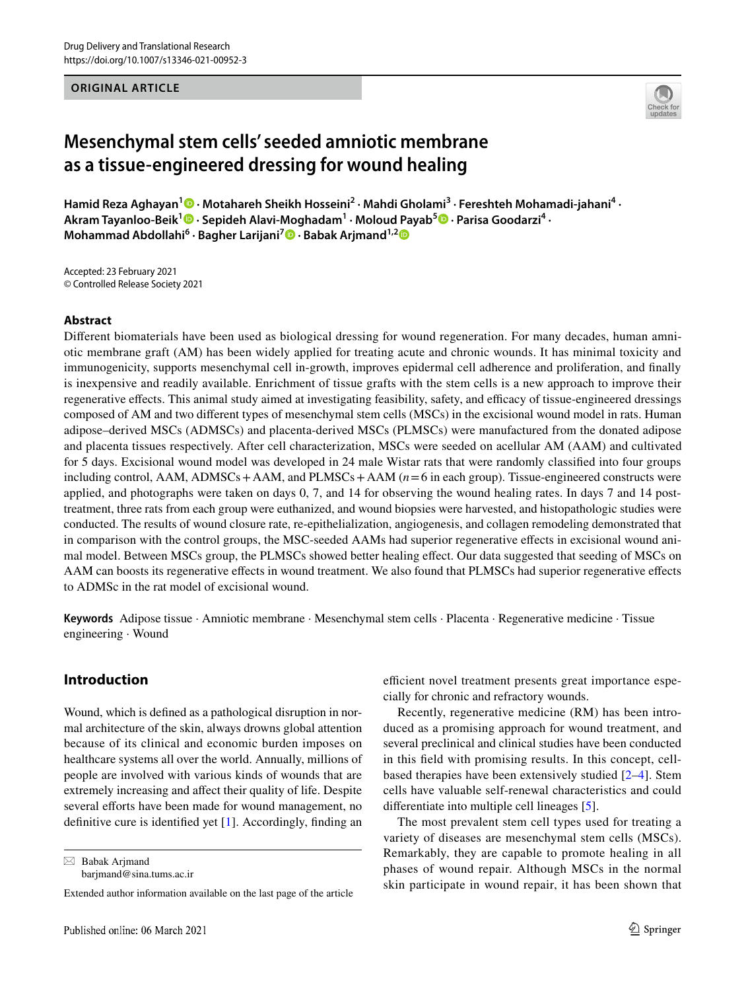### **ORIGINAL ARTICLE**



# **Mesenchymal stem cells' seeded amniotic membrane as a tissue‑engineered dressing for wound healing**

HamidReza Aghayan<sup>1</sup> <sup>®</sup> · Motahareh Sheikh Hosseini<sup>2</sup> · Mahdi Gholami<sup>3</sup> · Fereshteh Mohamadi-jahani<sup>4</sup> · Akram Tayanloo-Beik<sup>1</sup> <sup>O</sup> [·](http://orcid.org/0000-0001-8370-9557)Sepideh Alavi-Moghadam<sup>1</sup> · Moloud Payab<sup>5</sup> O · Parisa Goodarzi<sup>4</sup> · **Mohammad Abdollahi<sup>6</sup> · Bagher Larijani7  [·](http://orcid.org/0000-0001-5386-7597) Babak Arjmand1,[2](http://orcid.org/0000-0001-5001-5006)**

Accepted: 23 February 2021 © Controlled Release Society 2021

### **Abstract**

Diferent biomaterials have been used as biological dressing for wound regeneration. For many decades, human amniotic membrane graft (AM) has been widely applied for treating acute and chronic wounds. It has minimal toxicity and immunogenicity, supports mesenchymal cell in-growth, improves epidermal cell adherence and proliferation, and fnally is inexpensive and readily available. Enrichment of tissue grafts with the stem cells is a new approach to improve their regenerative effects. This animal study aimed at investigating feasibility, safety, and efficacy of tissue-engineered dressings composed of AM and two diferent types of mesenchymal stem cells (MSCs) in the excisional wound model in rats. Human adipose–derived MSCs (ADMSCs) and placenta-derived MSCs (PLMSCs) were manufactured from the donated adipose and placenta tissues respectively. After cell characterization, MSCs were seeded on acellular AM (AAM) and cultivated for 5 days. Excisional wound model was developed in 24 male Wistar rats that were randomly classifed into four groups including control, AAM, ADMSCs + AAM, and PLMSCs + AAM ( $n=6$  in each group). Tissue-engineered constructs were applied, and photographs were taken on days 0, 7, and 14 for observing the wound healing rates. In days 7 and 14 posttreatment, three rats from each group were euthanized, and wound biopsies were harvested, and histopathologic studies were conducted. The results of wound closure rate, re-epithelialization, angiogenesis, and collagen remodeling demonstrated that in comparison with the control groups, the MSC-seeded AAMs had superior regenerative efects in excisional wound animal model. Between MSCs group, the PLMSCs showed better healing effect. Our data suggested that seeding of MSCs on AAM can boosts its regenerative efects in wound treatment. We also found that PLMSCs had superior regenerative efects to ADMSc in the rat model of excisional wound.

**Keywords** Adipose tissue · Amniotic membrane · Mesenchymal stem cells · Placenta · Regenerative medicine · Tissue engineering · Wound

# **Introduction**

Wound, which is defned as a pathological disruption in normal architecture of the skin, always drowns global attention because of its clinical and economic burden imposes on healthcare systems all over the world. Annually, millions of people are involved with various kinds of wounds that are extremely increasing and afect their quality of life. Despite several efforts have been made for wound management, no defnitive cure is identifed yet [[1](#page-9-0)]. Accordingly, fnding an

 $\boxtimes$  Babak Arjmand barjmand@sina.tums.ac.ir efficient novel treatment presents great importance especially for chronic and refractory wounds.

Recently, regenerative medicine (RM) has been introduced as a promising approach for wound treatment, and several preclinical and clinical studies have been conducted in this feld with promising results. In this concept, cellbased therapies have been extensively studied [[2–](#page-9-1)[4\]](#page-9-2). Stem cells have valuable self-renewal characteristics and could diferentiate into multiple cell lineages [[5\]](#page-9-3).

The most prevalent stem cell types used for treating a variety of diseases are mesenchymal stem cells (MSCs). Remarkably, they are capable to promote healing in all phases of wound repair. Although MSCs in the normal skin participate in wound repair, it has been shown that

Extended author information available on the last page of the article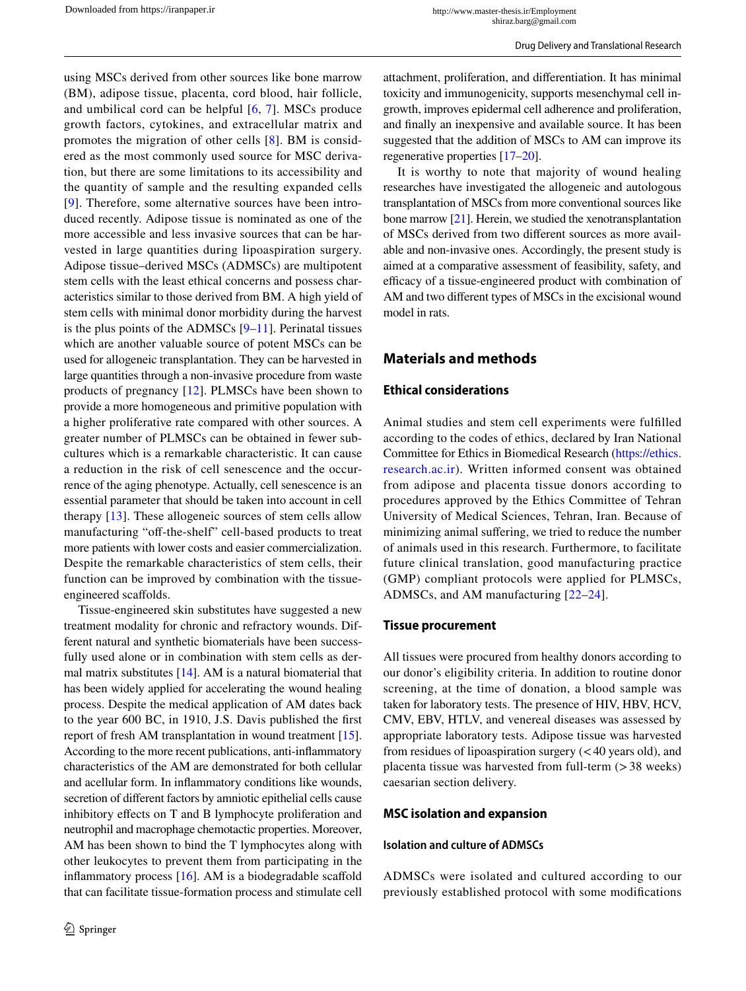using MSCs derived from other sources like bone marrow (BM), adipose tissue, placenta, cord blood, hair follicle, and umbilical cord can be helpful [[6](#page-9-4), [7](#page-9-5)]. MSCs produce growth factors, cytokines, and extracellular matrix and promotes the migration of other cells [[8\]](#page-9-6). BM is considered as the most commonly used source for MSC derivation, but there are some limitations to its accessibility and the quantity of sample and the resulting expanded cells [[9\]](#page-9-7). Therefore, some alternative sources have been introduced recently. Adipose tissue is nominated as one of the more accessible and less invasive sources that can be harvested in large quantities during lipoaspiration surgery. Adipose tissue–derived MSCs (ADMSCs) are multipotent stem cells with the least ethical concerns and possess characteristics similar to those derived from BM. A high yield of stem cells with minimal donor morbidity during the harvest is the plus points of the ADMSCs  $[9-11]$  $[9-11]$ . Perinatal tissues which are another valuable source of potent MSCs can be used for allogeneic transplantation. They can be harvested in large quantities through a non-invasive procedure from waste products of pregnancy [\[12](#page-9-9)]. PLMSCs have been shown to provide a more homogeneous and primitive population with

a higher proliferative rate compared with other sources. A greater number of PLMSCs can be obtained in fewer subcultures which is a remarkable characteristic. It can cause a reduction in the risk of cell senescence and the occurrence of the aging phenotype. Actually, cell senescence is an essential parameter that should be taken into account in cell therapy [[13\]](#page-9-10). These allogeneic sources of stem cells allow manufacturing "off-the-shelf" cell-based products to treat more patients with lower costs and easier commercialization. Despite the remarkable characteristics of stem cells, their function can be improved by combination with the tissueengineered scafolds.

Tissue-engineered skin substitutes have suggested a new treatment modality for chronic and refractory wounds. Different natural and synthetic biomaterials have been successfully used alone or in combination with stem cells as dermal matrix substitutes [\[14](#page-9-11)]. AM is a natural biomaterial that has been widely applied for accelerating the wound healing process. Despite the medical application of AM dates back to the year 600 BC, in 1910, J.S. Davis published the frst report of fresh AM transplantation in wound treatment [\[15](#page-9-12)]. According to the more recent publications, anti-infammatory characteristics of the AM are demonstrated for both cellular and acellular form. In infammatory conditions like wounds, secretion of diferent factors by amniotic epithelial cells cause inhibitory efects on T and B lymphocyte proliferation and neutrophil and macrophage chemotactic properties. Moreover, AM has been shown to bind the T lymphocytes along with other leukocytes to prevent them from participating in the inflammatory process  $[16]$  $[16]$ . AM is a biodegradable scaffold that can facilitate tissue-formation process and stimulate cell attachment, proliferation, and diferentiation. It has minimal toxicity and immunogenicity, supports mesenchymal cell ingrowth, improves epidermal cell adherence and proliferation, and fnally an inexpensive and available source. It has been suggested that the addition of MSCs to AM can improve its regenerative properties [\[17](#page-9-14)[–20\]](#page-9-15).

It is worthy to note that majority of wound healing researches have investigated the allogeneic and autologous transplantation of MSCs from more conventional sources like bone marrow [[21](#page-9-16)]. Herein, we studied the xenotransplantation of MSCs derived from two diferent sources as more available and non-invasive ones. Accordingly, the present study is aimed at a comparative assessment of feasibility, safety, and efficacy of a tissue-engineered product with combination of AM and two diferent types of MSCs in the excisional wound model in rats.

# **Materials and methods**

### **Ethical considerations**

Animal studies and stem cell experiments were fulflled according to the codes of ethics, declared by Iran National Committee for Ethics in Biomedical Research ([https://ethics.](https://ethics.research.ac.ir) [research.ac.ir\)](https://ethics.research.ac.ir). Written informed consent was obtained from adipose and placenta tissue donors according to procedures approved by the Ethics Committee of Tehran University of Medical Sciences, Tehran, Iran. Because of minimizing animal sufering, we tried to reduce the number of animals used in this research. Furthermore, to facilitate future clinical translation, good manufacturing practice (GMP) compliant protocols were applied for PLMSCs, ADMSCs, and AM manufacturing [\[22–](#page-10-0)[24\]](#page-10-1).

#### **Tissue procurement**

All tissues were procured from healthy donors according to our donor's eligibility criteria. In addition to routine donor screening, at the time of donation, a blood sample was taken for laboratory tests. The presence of HIV, HBV, HCV, CMV, EBV, HTLV, and venereal diseases was assessed by appropriate laboratory tests. Adipose tissue was harvested from residues of lipoaspiration surgery  $( $40$  years old), and$ placenta tissue was harvested from full-term (>38 weeks) caesarian section delivery.

#### **MSC isolation and expansion**

#### **Isolation and culture of ADMSCs**

ADMSCs were isolated and cultured according to our previously established protocol with some modifcations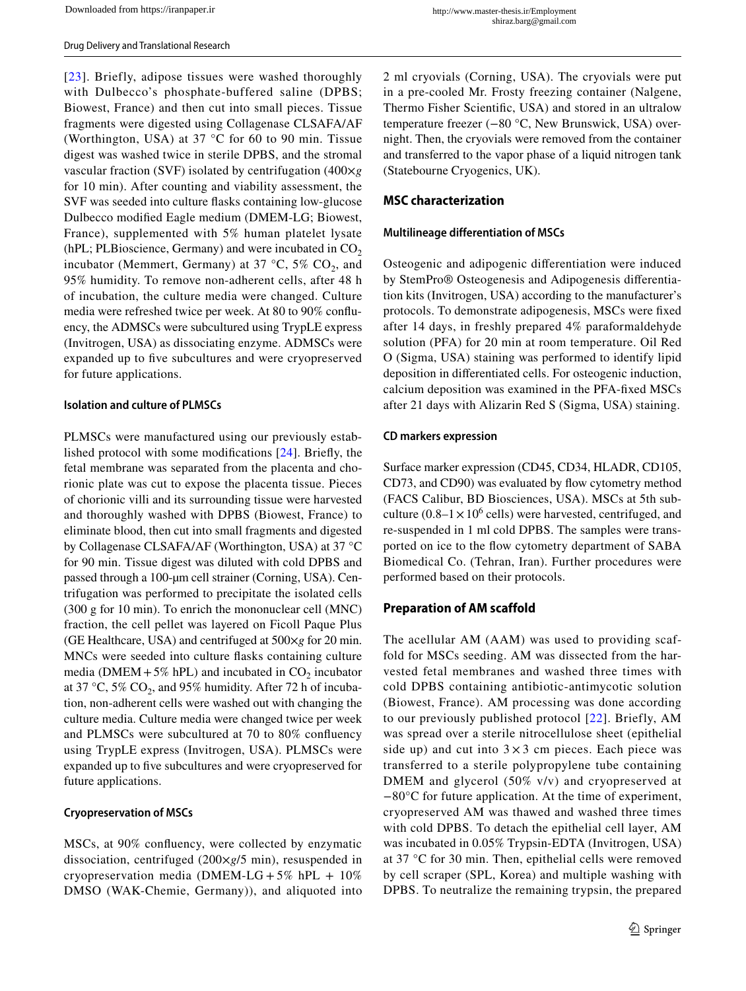[[23](#page-10-2)]. Briefly, adipose tissues were washed thoroughly with Dulbecco's phosphate-buffered saline (DPBS; Biowest, France) and then cut into small pieces. Tissue fragments were digested using Collagenase CLSAFA/AF (Worthington, USA) at 37 °C for 60 to 90 min. Tissue digest was washed twice in sterile DPBS, and the stromal vascular fraction (SVF) isolated by centrifugation (400×*g* for 10 min). After counting and viability assessment, the SVF was seeded into culture fasks containing low-glucose Dulbecco modifed Eagle medium (DMEM-LG; Biowest, France), supplemented with 5% human platelet lysate (hPL; PLBioscience, Germany) and were incubated in  $CO<sub>2</sub>$ incubator (Memmert, Germany) at 37 °C, 5%  $CO<sub>2</sub>$ , and 95% humidity. To remove non-adherent cells, after 48 h of incubation, the culture media were changed. Culture media were refreshed twice per week. At 80 to 90% confuency, the ADMSCs were subcultured using TrypLE express (Invitrogen, USA) as dissociating enzyme. ADMSCs were expanded up to fve subcultures and were cryopreserved for future applications.

#### **Isolation and culture of PLMSCs**

PLMSCs were manufactured using our previously established protocol with some modifcations [[24](#page-10-1)]. Briefy, the fetal membrane was separated from the placenta and chorionic plate was cut to expose the placenta tissue. Pieces of chorionic villi and its surrounding tissue were harvested and thoroughly washed with DPBS (Biowest, France) to eliminate blood, then cut into small fragments and digested by Collagenase CLSAFA/AF (Worthington, USA) at 37 °C for 90 min. Tissue digest was diluted with cold DPBS and passed through a 100-µm cell strainer (Corning, USA). Centrifugation was performed to precipitate the isolated cells (300 g for 10 min). To enrich the mononuclear cell (MNC) fraction, the cell pellet was layered on Ficoll Paque Plus (GE Healthcare, USA) and centrifuged at 500×*g* for 20 min. MNCs were seeded into culture fasks containing culture media (DMEM+5% hPL) and incubated in  $CO_2$  incubator at 37 °C, 5%  $CO_2$ , and 95% humidity. After 72 h of incubation, non-adherent cells were washed out with changing the culture media. Culture media were changed twice per week and PLMSCs were subcultured at 70 to 80% confuency using TrypLE express (Invitrogen, USA). PLMSCs were expanded up to five subcultures and were cryopreserved for future applications.

#### **Cryopreservation of MSCs**

MSCs, at 90% confuency, were collected by enzymatic dissociation, centrifuged (200×*g*/5 min), resuspended in cryopreservation media (DMEM-LG +  $5\%$  hPL +  $10\%$ DMSO (WAK-Chemie, Germany)), and aliquoted into 2 ml cryovials (Corning, USA). The cryovials were put in a pre-cooled Mr. Frosty freezing container (Nalgene, Thermo Fisher Scientifc, USA) and stored in an ultralow temperature freezer (−80 °C, New Brunswick, USA) overnight. Then, the cryovials were removed from the container and transferred to the vapor phase of a liquid nitrogen tank (Statebourne Cryogenics, UK).

#### **MSC characterization**

#### **Multilineage differentiation of MSCs**

Osteogenic and adipogenic diferentiation were induced by StemPro® Osteogenesis and Adipogenesis diferentiation kits (Invitrogen, USA) according to the manufacturer's protocols. To demonstrate adipogenesis, MSCs were fxed after 14 days, in freshly prepared 4% paraformaldehyde solution (PFA) for 20 min at room temperature. Oil Red O (Sigma, USA) staining was performed to identify lipid deposition in diferentiated cells. For osteogenic induction, calcium deposition was examined in the PFA-fxed MSCs after 21 days with Alizarin Red S (Sigma, USA) staining.

#### **CD markers expression**

Surface marker expression (CD45, CD34, HLADR, CD105, CD73, and CD90) was evaluated by flow cytometry method (FACS Calibur, BD Biosciences, USA). MSCs at 5th subculture  $(0.8-1 \times 10^6 \text{ cells})$  were harvested, centrifuged, and re-suspended in 1 ml cold DPBS. The samples were transported on ice to the fow cytometry department of SABA Biomedical Co. (Tehran, Iran). Further procedures were performed based on their protocols.

### **Preparation of AM scaffold**

The acellular AM (AAM) was used to providing scaffold for MSCs seeding. AM was dissected from the harvested fetal membranes and washed three times with cold DPBS containing antibiotic-antimycotic solution (Biowest, France). AM processing was done according to our previously published protocol [[22\]](#page-10-0). Briefly, AM was spread over a sterile nitrocellulose sheet (epithelial side up) and cut into  $3 \times 3$  cm pieces. Each piece was transferred to a sterile polypropylene tube containing DMEM and glycerol (50% v/v) and cryopreserved at −80°C for future application. At the time of experiment, cryopreserved AM was thawed and washed three times with cold DPBS. To detach the epithelial cell layer, AM was incubated in 0.05% Trypsin-EDTA (Invitrogen, USA) at 37 °C for 30 min. Then, epithelial cells were removed by cell scraper (SPL, Korea) and multiple washing with DPBS. To neutralize the remaining trypsin, the prepared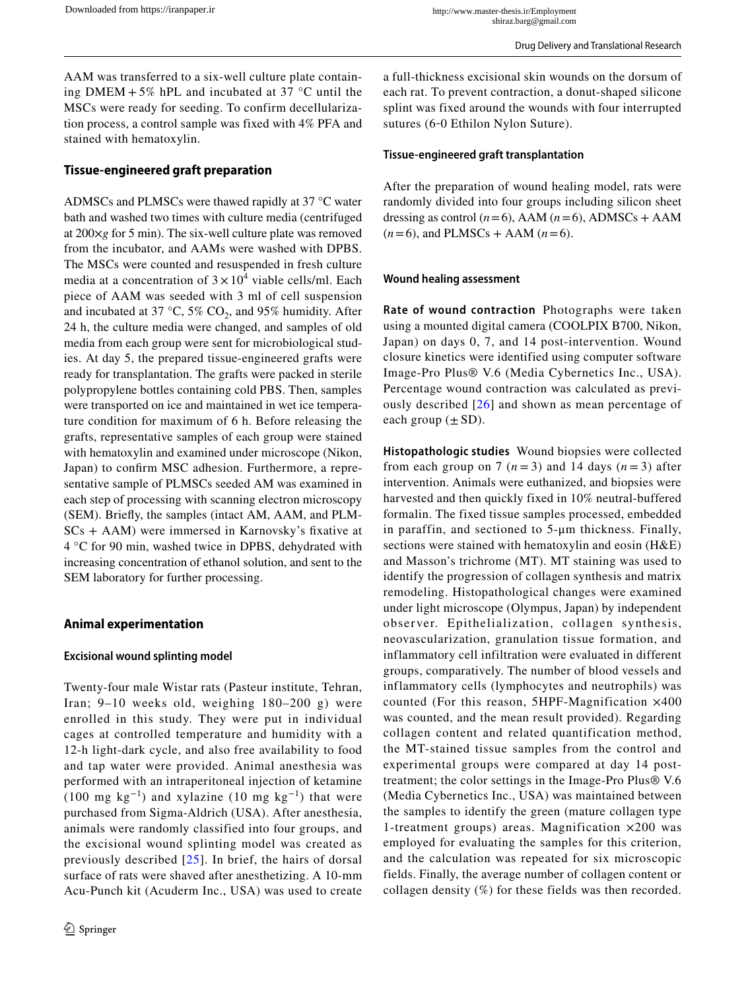AAM was transferred to a six-well culture plate containing DMEM  $+ 5\%$  hPL and incubated at 37 °C until the MSCs were ready for seeding. To confirm decellularization process, a control sample was fixed with 4% PFA and stained with hematoxylin.

### **Tissue‑engineered graft preparation**

ADMSCs and PLMSCs were thawed rapidly at 37 °C water bath and washed two times with culture media (centrifuged at 200×*g* for 5 min). The six-well culture plate was removed from the incubator, and AAMs were washed with DPBS. The MSCs were counted and resuspended in fresh culture media at a concentration of  $3 \times 10^4$  viable cells/ml. Each piece of AAM was seeded with 3 ml of cell suspension and incubated at 37 °C, 5%  $CO<sub>2</sub>$ , and 95% humidity. After 24 h, the culture media were changed, and samples of old media from each group were sent for microbiological studies. At day 5, the prepared tissue-engineered grafts were ready for transplantation. The grafts were packed in sterile polypropylene bottles containing cold PBS. Then, samples were transported on ice and maintained in wet ice temperature condition for maximum of 6 h. Before releasing the grafts, representative samples of each group were stained with hematoxylin and examined under microscope (Nikon, Japan) to confrm MSC adhesion. Furthermore, a representative sample of PLMSCs seeded AM was examined in each step of processing with scanning electron microscopy (SEM). Briefy, the samples (intact AM, AAM, and PLM-SCs + AAM) were immersed in Karnovsky's fxative at 4 °C for 90 min, washed twice in DPBS, dehydrated with increasing concentration of ethanol solution, and sent to the SEM laboratory for further processing.

### **Animal experimentation**

#### **Excisional wound splinting model**

Twenty-four male Wistar rats (Pasteur institute, Tehran, Iran; 9–10 weeks old, weighing 180–200 g) were enrolled in this study. They were put in individual cages at controlled temperature and humidity with a 12-h light-dark cycle, and also free availability to food and tap water were provided. Animal anesthesia was performed with an intraperitoneal injection of ketamine (100 mg kg<sup>-1</sup>) and xylazine (10 mg kg<sup>-1</sup>) that were purchased from Sigma-Aldrich (USA). After anesthesia, animals were randomly classified into four groups, and the excisional wound splinting model was created as previously described [[25\]](#page-10-3). In brief, the hairs of dorsal surface of rats were shaved after anesthetizing. A 10-mm Acu-Punch kit (Acuderm Inc., USA) was used to create a full-thickness excisional skin wounds on the dorsum of each rat. To prevent contraction, a donut-shaped silicone splint was fixed around the wounds with four interrupted sutures (6‐0 Ethilon Nylon Suture).

### **Tissue‑engineered graft transplantation**

After the preparation of wound healing model, rats were randomly divided into four groups including silicon sheet dressing as control  $(n=6)$ , AAM  $(n=6)$ , ADMSCs + AAM  $(n=6)$ , and PLMSCs + AAM  $(n=6)$ .

#### **Wound healing assessment**

**Rate of wound contraction** Photographs were taken using a mounted digital camera (COOLPIX B700, Nikon, Japan) on days 0, 7, and 14 post-intervention. Wound closure kinetics were identified using computer software Image-Pro Plus® V.6 (Media Cybernetics Inc., USA). Percentage wound contraction was calculated as previously described [[26](#page-10-4)] and shown as mean percentage of each group  $(\pm SD)$ .

**Histopathologic studies** Wound biopsies were collected from each group on 7  $(n=3)$  and 14 days  $(n=3)$  after intervention. Animals were euthanized, and biopsies were harvested and then quickly fixed in 10% neutral-buffered formalin. The fixed tissue samples processed, embedded in paraffin, and sectioned to 5-μm thickness. Finally, sections were stained with hematoxylin and eosin (H&E) and Masson's trichrome (MT). MT staining was used to identify the progression of collagen synthesis and matrix remodeling. Histopathological changes were examined under light microscope (Olympus, Japan) by independent observer. Epithelialization, collagen synthesis, neovascularization, granulation tissue formation, and inflammatory cell infiltration were evaluated in different groups, comparatively. The number of blood vessels and inflammatory cells (lymphocytes and neutrophils) was counted (For this reason, 5HPF-Magnification ×400 was counted, and the mean result provided). Regarding collagen content and related quantification method, the MT-stained tissue samples from the control and experimental groups were compared at day 14 posttreatment; the color settings in the Image-Pro Plus® V.6 (Media Cybernetics Inc., USA) was maintained between the samples to identify the green (mature collagen type 1-treatment groups) areas. Magnification ×200 was employed for evaluating the samples for this criterion, and the calculation was repeated for six microscopic fields. Finally, the average number of collagen content or collagen density (%) for these fields was then recorded.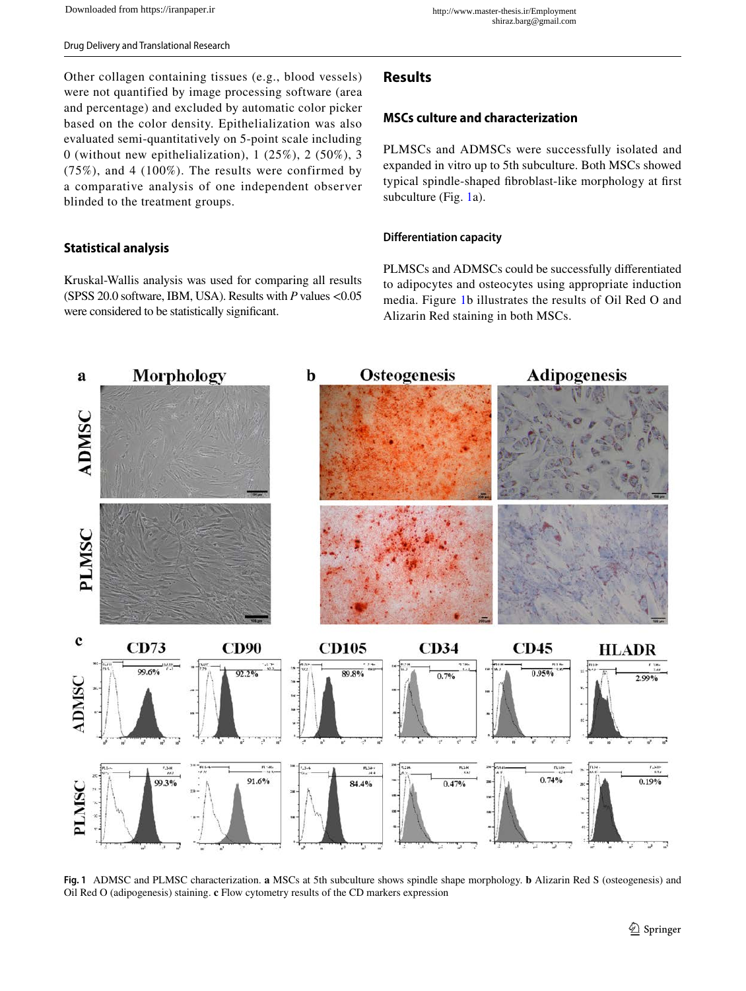Other collagen containing tissues (e.g., blood vessels) were not quantified by image processing software (area and percentage) and excluded by automatic color picker based on the color density. Epithelialization was also evaluated semi-quantitatively on 5-point scale including 0 (without new epithelialization),  $1(25\%)$ ,  $2(50\%)$ ,  $3$ (75%), and 4 (100%). The results were confirmed by a comparative analysis of one independent observer blinded to the treatment groups.

### **Statistical analysis**

Kruskal-Wallis analysis was used for comparing all results (SPSS 20.0 software, IBM, USA). Results with *P* values <0.05 were considered to be statistically signifcant.

# **Results**

#### **MSCs culture and characterization**

PLMSCs and ADMSCs were successfully isolated and expanded in vitro up to 5th subculture. Both MSCs showed typical spindle-shaped fbroblast-like morphology at frst subculture (Fig. [1a](#page-4-0)).

#### **Differentiation capacity**

PLMSCs and ADMSCs could be successfully diferentiated to adipocytes and osteocytes using appropriate induction media. Figure [1b](#page-4-0) illustrates the results of Oil Red O and Alizarin Red staining in both MSCs.



<span id="page-4-0"></span>**Fig. 1** ADMSC and PLMSC characterization. **a** MSCs at 5th subculture shows spindle shape morphology. **b** Alizarin Red S (osteogenesis) and Oil Red O (adipogenesis) staining. **c** Flow cytometry results of the CD markers expression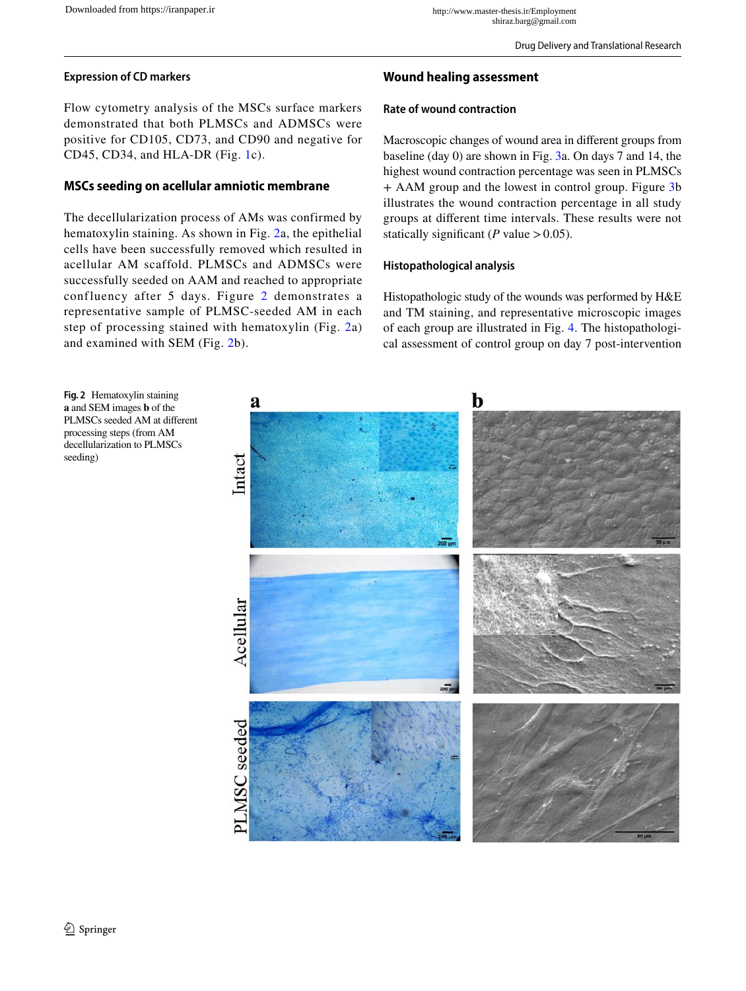### **Expression of CD markers**

Flow cytometry analysis of the MSCs surface markers demonstrated that both PLMSCs and ADMSCs were positive for CD105, CD73, and CD90 and negative for CD45, CD34, and HLA-DR (Fig. [1c](#page-4-0)).

### **MSCs seeding on acellular amniotic membrane**

The decellularization process of AMs was confirmed by hematoxylin staining. As shown in Fig. [2](#page-5-0)a, the epithelial cells have been successfully removed which resulted in acellular AM scaffold. PLMSCs and ADMSCs were successfully seeded on AAM and reached to appropriate confluency after 5 days. Figure [2](#page-5-0) demonstrates a representative sample of PLMSC-seeded AM in each step of processing stained with hematoxylin (Fig. [2a](#page-5-0)) and examined with SEM (Fig. [2](#page-5-0)b).

### **Wound healing assessment**

### **Rate of wound contraction**

Macroscopic changes of wound area in diferent groups from baseline (day 0) are shown in Fig. [3a](#page-6-0). On days 7 and 14, the highest wound contraction percentage was seen in PLMSCs + AAM group and the lowest in control group. Figure [3](#page-6-0)b illustrates the wound contraction percentage in all study groups at diferent time intervals. These results were not statically significant ( $P$  value  $> 0.05$ ).

### **Histopathological analysis**

Histopathologic study of the wounds was performed by H&E and TM staining, and representative microscopic images of each group are illustrated in Fig. [4.](#page-7-0) The histopathological assessment of control group on day 7 post-intervention

<span id="page-5-0"></span>

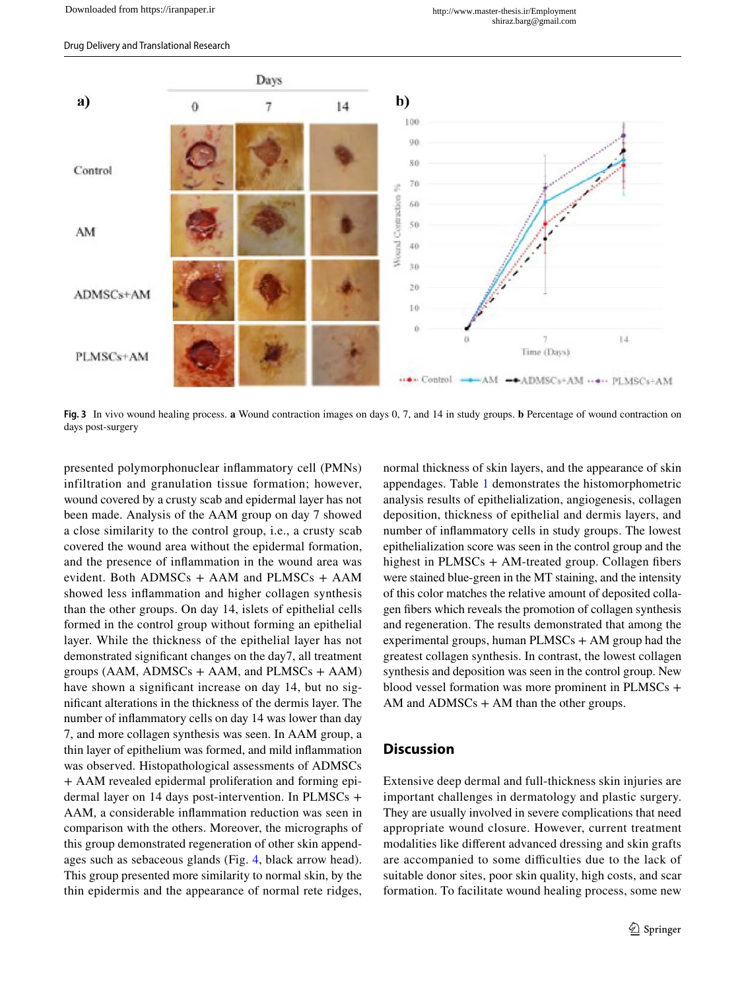

<span id="page-6-0"></span>**Fig. 3** In vivo wound healing process. **a** Wound contraction images on days 0, 7, and 14 in study groups. **b** Percentage of wound contraction on days post-surgery

presented polymorphonuclear infammatory cell (PMNs) infiltration and granulation tissue formation; however, wound covered by a crusty scab and epidermal layer has not been made. Analysis of the AAM group on day 7 showed a close similarity to the control group, i.e., a crusty scab covered the wound area without the epidermal formation, and the presence of infammation in the wound area was evident. Both ADMSCs + AAM and PLMSCs + AAM showed less infammation and higher collagen synthesis than the other groups. On day 14, islets of epithelial cells formed in the control group without forming an epithelial layer. While the thickness of the epithelial layer has not demonstrated signifcant changes on the day7, all treatment groups ( $AAM$ ,  $ADMSCs + AAM$ , and  $PLMSCs + AAM$ ) have shown a significant increase on day 14, but no signifcant alterations in the thickness of the dermis layer. The number of infammatory cells on day 14 was lower than day 7, and more collagen synthesis was seen. In AAM group, a thin layer of epithelium was formed, and mild infammation was observed. Histopathological assessments of ADMSCs + AAM revealed epidermal proliferation and forming epidermal layer on 14 days post-intervention. In PLMSCs + AAM, a considerable infammation reduction was seen in comparison with the others. Moreover, the micrographs of this group demonstrated regeneration of other skin appendages such as sebaceous glands (Fig. [4,](#page-7-0) black arrow head). This group presented more similarity to normal skin, by the thin epidermis and the appearance of normal rete ridges, normal thickness of skin layers, and the appearance of skin appendages. Table [1](#page-8-0) demonstrates the histomorphometric analysis results of epithelialization, angiogenesis, collagen deposition, thickness of epithelial and dermis layers, and number of infammatory cells in study groups. The lowest epithelialization score was seen in the control group and the highest in  $PLMSCs + AM-treated group.$  Collagen fibers were stained blue-green in the MT staining, and the intensity of this color matches the relative amount of deposited collagen fbers which reveals the promotion of collagen synthesis and regeneration. The results demonstrated that among the experimental groups, human  $PLMSCs + AM$  group had the greatest collagen synthesis. In contrast, the lowest collagen synthesis and deposition was seen in the control group. New blood vessel formation was more prominent in PLMSCs + AM and  $\angle$ ADMSCs + AM than the other groups.

### **Discussion**

Extensive deep dermal and full-thickness skin injuries are important challenges in dermatology and plastic surgery. They are usually involved in severe complications that need appropriate wound closure. However, current treatment modalities like diferent advanced dressing and skin grafts are accompanied to some difficulties due to the lack of suitable donor sites, poor skin quality, high costs, and scar formation. To facilitate wound healing process, some new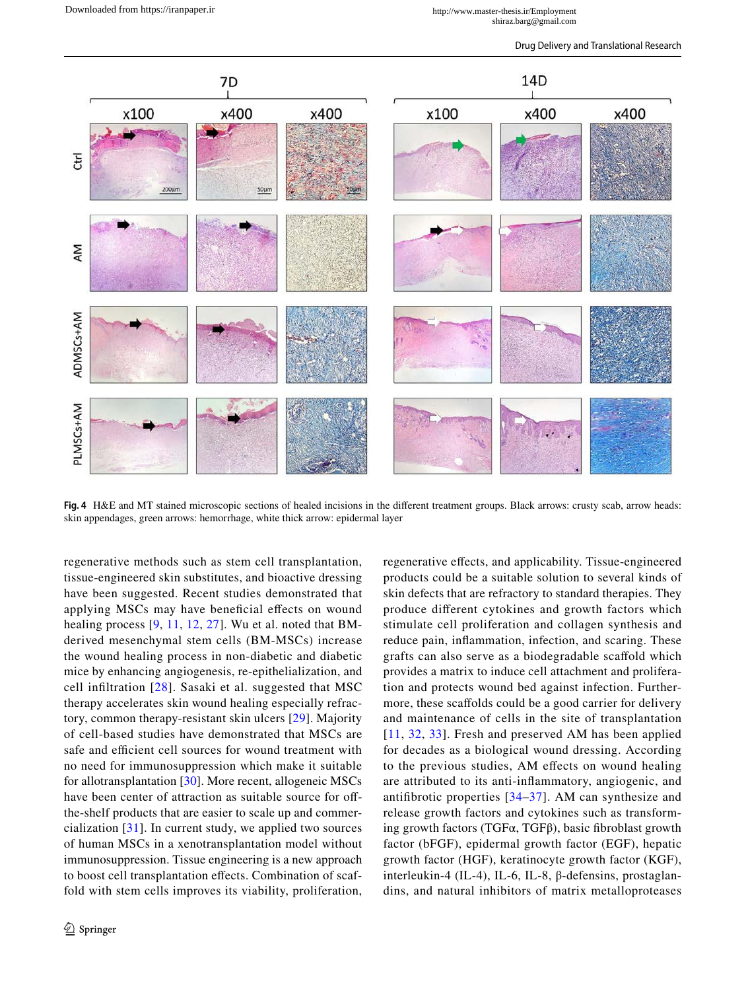

<span id="page-7-0"></span>**Fig. 4** H&E and MT stained microscopic sections of healed incisions in the diferent treatment groups. Black arrows: crusty scab, arrow heads: skin appendages, green arrows: hemorrhage, white thick arrow: epidermal layer

regenerative methods such as stem cell transplantation, tissue-engineered skin substitutes, and bioactive dressing have been suggested. Recent studies demonstrated that applying MSCs may have benefcial efects on wound healing process [\[9,](#page-9-7) [11](#page-9-8), [12](#page-9-9), [27](#page-10-5)]. Wu et al. noted that BMderived mesenchymal stem cells (BM-MSCs) increase the wound healing process in non-diabetic and diabetic mice by enhancing angiogenesis, re-epithelialization, and cell infltration [[28](#page-10-6)]. Sasaki et al. suggested that MSC therapy accelerates skin wound healing especially refractory, common therapy-resistant skin ulcers [[29](#page-10-7)]. Majority of cell-based studies have demonstrated that MSCs are safe and efficient cell sources for wound treatment with no need for immunosuppression which make it suitable for allotransplantation [[30](#page-10-8)]. More recent, allogeneic MSCs have been center of attraction as suitable source for offthe-shelf products that are easier to scale up and commercialization [[31](#page-10-9)]. In current study, we applied two sources of human MSCs in a xenotransplantation model without immunosuppression. Tissue engineering is a new approach to boost cell transplantation efects. Combination of scaffold with stem cells improves its viability, proliferation, regenerative efects, and applicability. Tissue-engineered products could be a suitable solution to several kinds of skin defects that are refractory to standard therapies. They produce diferent cytokines and growth factors which stimulate cell proliferation and collagen synthesis and reduce pain, infammation, infection, and scaring. These grafts can also serve as a biodegradable scafold which provides a matrix to induce cell attachment and proliferation and protects wound bed against infection. Furthermore, these scaffolds could be a good carrier for delivery and maintenance of cells in the site of transplantation [[11](#page-9-8), [32,](#page-10-10) [33](#page-10-11)]. Fresh and preserved AM has been applied for decades as a biological wound dressing. According to the previous studies, AM efects on wound healing are attributed to its anti-infammatory, angiogenic, and antifbrotic properties [[34](#page-10-12)–[37](#page-10-13)]. AM can synthesize and release growth factors and cytokines such as transforming growth factors ( $TGF\alpha$ ,  $TGF\beta$ ), basic fibroblast growth factor (bFGF), epidermal growth factor (EGF), hepatic growth factor (HGF), keratinocyte growth factor (KGF), interleukin-4 (IL-4), IL-6, IL-8, β-defensins, prostaglandins, and natural inhibitors of matrix metalloproteases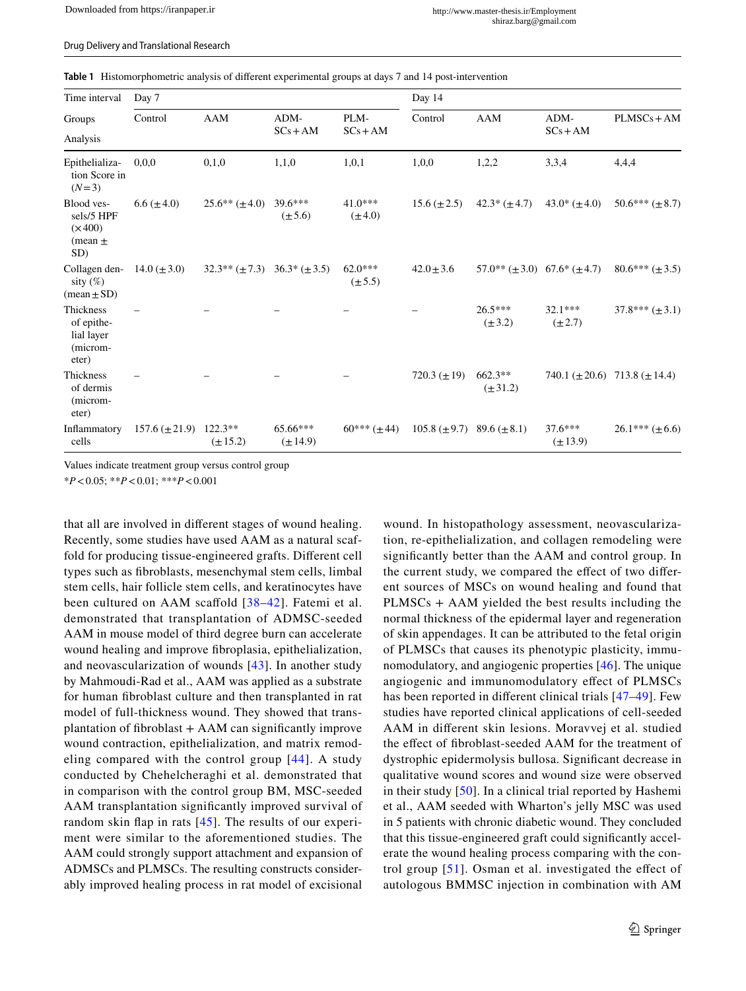<span id="page-8-0"></span>

| <b>Table 1</b> Histomorphometric analysis of different experimental groups at days 7 and 14 post-intervention |  |
|---------------------------------------------------------------------------------------------------------------|--|
|---------------------------------------------------------------------------------------------------------------|--|

| Time interval<br>Groups<br>Analysis                              | Day 7              |                           |                          |                          | Day 14            |                                           |                           |                                           |
|------------------------------------------------------------------|--------------------|---------------------------|--------------------------|--------------------------|-------------------|-------------------------------------------|---------------------------|-------------------------------------------|
|                                                                  | Control            | <b>AAM</b>                | ADM-<br>$SCs + AM$       | PLM-<br>$SCs + AM$       | Control           | AAM                                       | ADM-<br>$SCs + AM$        | $PLMSCs + AM$                             |
|                                                                  |                    |                           |                          |                          |                   |                                           |                           |                                           |
| Epithelializa-<br>tion Score in<br>$(N=3)$                       | 0.0,0              | 0,1,0                     | 1,1,0                    | 1,0,1                    | 1,0,0             | 1,2,2                                     | 3,3,4                     | 4,4,4                                     |
| Blood ves-<br>sels/5 HPF<br>$(\times 400)$<br>(mean $\pm$<br>SD) | $6.6 (\pm 4.0)$    | $25.6** (\pm 4.0)$        | $39.6***$<br>$(\pm 5.6)$ | $41.0***$<br>$(\pm 4.0)$ | $15.6 (\pm 2.5)$  | $42.3*(\pm 4.7)$                          | $43.0*(\pm 4.0)$          | $50.6*** (\pm 8.7)$                       |
| Collagen den-<br>sity $(\%)$<br>$(\text{mean} \pm \text{SD})$    | 14.0 $(\pm 3.0)$   | $32.3**({\pm}7.3)$        | $36.3*(\pm 3.5)$         | $62.0***$<br>$(\pm 5.5)$ | $42.0 \pm 3.6$    | $57.0^{**} (\pm 3.0)$ 67.6* ( $\pm 4.7$ ) |                           | $80.6*** (\pm 3.5)$                       |
| Thickness<br>of epithe-<br>lial layer<br>(microm-<br>eter)       |                    |                           |                          |                          |                   | $26.5***$<br>$(\pm 3.2)$                  | $32.1***$<br>$(\pm 2.7)$  | $37.8*** (\pm 3.1)$                       |
| Thickness<br>of dermis<br>(microm-<br>eter)                      |                    |                           |                          |                          | 720.3 $(\pm 19)$  | $662.3**$<br>$(\pm 31.2)$                 |                           | 740.1 ( $\pm 20.6$ ) 713.8 ( $\pm 14.4$ ) |
| Inflammatory<br>cells                                            | $157.6 (\pm 21.9)$ | $122.3**$<br>$(\pm 15.2)$ | 65.66***<br>$(\pm 14.9)$ | $60***$ ( $\pm$ 44)      | $105.8 (\pm 9.7)$ | $89.6 (\pm 8.1)$                          | $37.6***$<br>$(\pm 13.9)$ | $26.1***$ (±6.6)                          |

Values indicate treatment group versus control group

\**P*<0.05; \*\**P*<0.01; \*\*\**P*<0.001

that all are involved in diferent stages of wound healing. Recently, some studies have used AAM as a natural scaffold for producing tissue-engineered grafts. Diferent cell types such as fbroblasts, mesenchymal stem cells, limbal stem cells, hair follicle stem cells, and keratinocytes have been cultured on AAM scaffold [[38–](#page-10-14)[42](#page-10-15)]. Fatemi et al. demonstrated that transplantation of ADMSC-seeded AAM in mouse model of third degree burn can accelerate wound healing and improve fbroplasia, epithelialization, and neovascularization of wounds [[43](#page-10-16)]. In another study by Mahmoudi-Rad et al., AAM was applied as a substrate for human fbroblast culture and then transplanted in rat model of full-thickness wound. They showed that transplantation of fbroblast + AAM can signifcantly improve wound contraction, epithelialization, and matrix remodeling compared with the control group [[44\]](#page-10-17). A study conducted by Chehelcheraghi et al. demonstrated that in comparison with the control group BM, MSC-seeded AAM transplantation signifcantly improved survival of random skin fap in rats [[45](#page-10-18)]. The results of our experiment were similar to the aforementioned studies. The AAM could strongly support attachment and expansion of ADMSCs and PLMSCs. The resulting constructs considerably improved healing process in rat model of excisional

wound. In histopathology assessment, neovascularization, re-epithelialization, and collagen remodeling were signifcantly better than the AAM and control group. In the current study, we compared the effect of two different sources of MSCs on wound healing and found that PLMSCs + AAM yielded the best results including the normal thickness of the epidermal layer and regeneration of skin appendages. It can be attributed to the fetal origin of PLMSCs that causes its phenotypic plasticity, immunomodulatory, and angiogenic properties [[46\]](#page-10-19). The unique angiogenic and immunomodulatory efect of PLMSCs has been reported in different clinical trials [[47–](#page-10-20)[49](#page-10-21)]. Few studies have reported clinical applications of cell-seeded AAM in diferent skin lesions. Moravvej et al. studied the effect of fibroblast-seeded AAM for the treatment of dystrophic epidermolysis bullosa. Signifcant decrease in qualitative wound scores and wound size were observed in their study [[50](#page-10-22)]. In a clinical trial reported by Hashemi et al., AAM seeded with Wharton's jelly MSC was used in 5 patients with chronic diabetic wound. They concluded that this tissue-engineered graft could signifcantly accelerate the wound healing process comparing with the control group  $[51]$  $[51]$ . Osman et al. investigated the effect of autologous BMMSC injection in combination with AM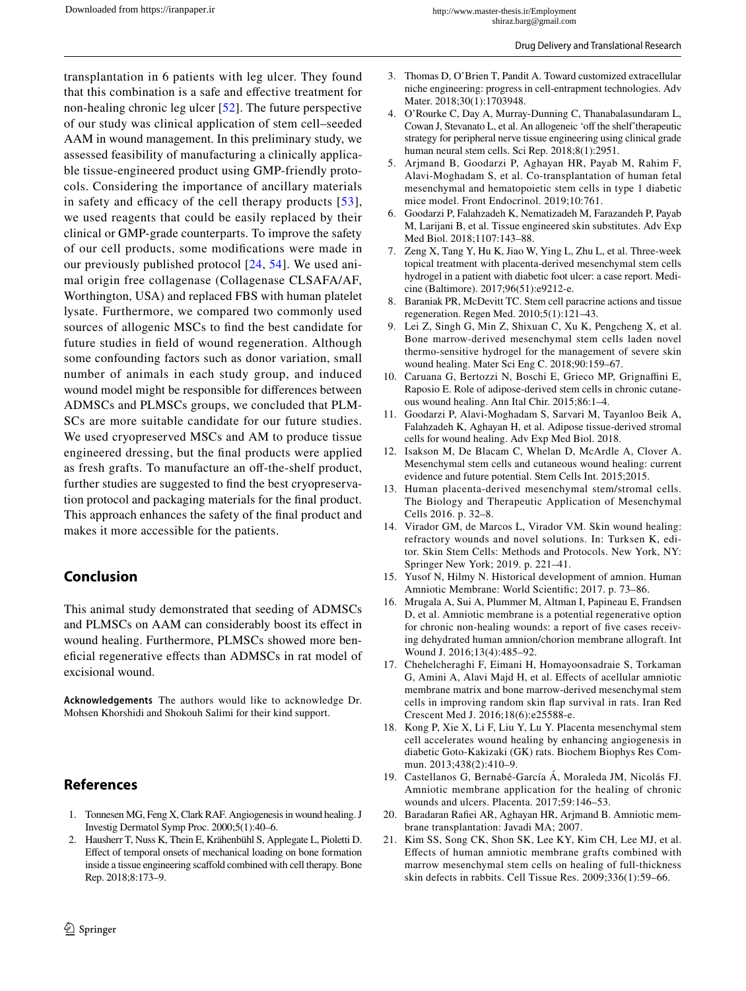transplantation in 6 patients with leg ulcer. They found that this combination is a safe and efective treatment for non-healing chronic leg ulcer [[52](#page-10-24)]. The future perspective of our study was clinical application of stem cell–seeded AAM in wound management. In this preliminary study, we assessed feasibility of manufacturing a clinically applicable tissue-engineered product using GMP-friendly protocols. Considering the importance of ancillary materials in safety and efficacy of the cell therapy products  $[53]$  $[53]$ , we used reagents that could be easily replaced by their clinical or GMP-grade counterparts. To improve the safety of our cell products, some modifcations were made in our previously published protocol [[24](#page-10-1), [54](#page-10-26)]. We used animal origin free collagenase (Collagenase CLSAFA/AF, Worthington, USA) and replaced FBS with human platelet lysate. Furthermore, we compared two commonly used sources of allogenic MSCs to fnd the best candidate for future studies in feld of wound regeneration. Although some confounding factors such as donor variation, small number of animals in each study group, and induced wound model might be responsible for diferences between ADMSCs and PLMSCs groups, we concluded that PLM-SCs are more suitable candidate for our future studies. We used cryopreserved MSCs and AM to produce tissue engineered dressing, but the fnal products were applied as fresh grafts. To manufacture an off-the-shelf product, further studies are suggested to fnd the best cryopreservation protocol and packaging materials for the fnal product. This approach enhances the safety of the fnal product and makes it more accessible for the patients.

# **Conclusion**

This animal study demonstrated that seeding of ADMSCs and PLMSCs on AAM can considerably boost its efect in wound healing. Furthermore, PLMSCs showed more benefcial regenerative efects than ADMSCs in rat model of excisional wound.

**Acknowledgements** The authors would like to acknowledge Dr. Mohsen Khorshidi and Shokouh Salimi for their kind support.

# **References**

- <span id="page-9-0"></span>1. Tonnesen MG, Feng X, Clark RAF. Angiogenesis in wound healing. J Investig Dermatol Symp Proc. 2000;5(1):40–6.
- <span id="page-9-1"></span>2. Hausherr T, Nuss K, Thein E, Krähenbühl S, Applegate L, Pioletti D. Efect of temporal onsets of mechanical loading on bone formation inside a tissue engineering scafold combined with cell therapy. Bone Rep. 2018;8:173–9.
- 3. Thomas D, O'Brien T, Pandit A. Toward customized extracellular niche engineering: progress in cell-entrapment technologies. Adv Mater. 2018;30(1):1703948.
- <span id="page-9-2"></span>4. O'Rourke C, Day A, Murray-Dunning C, Thanabalasundaram L, Cowan J, Stevanato L, et al. An allogeneic 'off the shelf' therapeutic strategy for peripheral nerve tissue engineering using clinical grade human neural stem cells. Sci Rep. 2018;8(1):2951.
- <span id="page-9-3"></span>5. Arjmand B, Goodarzi P, Aghayan HR, Payab M, Rahim F, Alavi-Moghadam S, et al. Co-transplantation of human fetal mesenchymal and hematopoietic stem cells in type 1 diabetic mice model. Front Endocrinol. 2019;10:761.
- <span id="page-9-4"></span>6. Goodarzi P, Falahzadeh K, Nematizadeh M, Farazandeh P, Payab M, Larijani B, et al. Tissue engineered skin substitutes. Adv Exp Med Biol. 2018;1107:143–88.
- <span id="page-9-5"></span>7. Zeng X, Tang Y, Hu K, Jiao W, Ying L, Zhu L, et al. Three-week topical treatment with placenta-derived mesenchymal stem cells hydrogel in a patient with diabetic foot ulcer: a case report. Medicine (Baltimore). 2017;96(51):e9212-e.
- <span id="page-9-6"></span>8. Baraniak PR, McDevitt TC. Stem cell paracrine actions and tissue regeneration. Regen Med. 2010;5(1):121–43.
- <span id="page-9-7"></span>9. Lei Z, Singh G, Min Z, Shixuan C, Xu K, Pengcheng X, et al. Bone marrow-derived mesenchymal stem cells laden novel thermo-sensitive hydrogel for the management of severe skin wound healing. Mater Sci Eng C. 2018;90:159–67.
- 10. Caruana G, Bertozzi N, Boschi E, Grieco MP, Grignaffini E, Raposio E. Role of adipose-derived stem cells in chronic cutaneous wound healing. Ann Ital Chir. 2015;86:1–4.
- <span id="page-9-8"></span>11. Goodarzi P, Alavi-Moghadam S, Sarvari M, Tayanloo Beik A, Falahzadeh K, Aghayan H, et al. Adipose tissue-derived stromal cells for wound healing. Adv Exp Med Biol. 2018.
- <span id="page-9-9"></span>12. Isakson M, De Blacam C, Whelan D, McArdle A, Clover A. Mesenchymal stem cells and cutaneous wound healing: current evidence and future potential. Stem Cells Int. 2015;2015.
- <span id="page-9-10"></span>13. Human placenta-derived mesenchymal stem/stromal cells. The Biology and Therapeutic Application of Mesenchymal Cells 2016. p. 32–8.
- <span id="page-9-11"></span>14. Virador GM, de Marcos L, Virador VM. Skin wound healing: refractory wounds and novel solutions. In: Turksen K, editor. Skin Stem Cells: Methods and Protocols. New York, NY: Springer New York; 2019. p. 221–41.
- <span id="page-9-12"></span>15. Yusof N, Hilmy N. Historical development of amnion. Human Amniotic Membrane: World Scientifc; 2017. p. 73–86.
- <span id="page-9-13"></span>16. Mrugala A, Sui A, Plummer M, Altman I, Papineau E, Frandsen D, et al. Amniotic membrane is a potential regenerative option for chronic non-healing wounds: a report of fve cases receiving dehydrated human amnion/chorion membrane allograft. Int Wound J. 2016;13(4):485–92.
- <span id="page-9-14"></span>17. Chehelcheraghi F, Eimani H, Homayoonsadraie S, Torkaman G, Amini A, Alavi Majd H, et al. Efects of acellular amniotic membrane matrix and bone marrow-derived mesenchymal stem cells in improving random skin fap survival in rats. Iran Red Crescent Med J. 2016;18(6):e25588-e.
- 18. Kong P, Xie X, Li F, Liu Y, Lu Y. Placenta mesenchymal stem cell accelerates wound healing by enhancing angiogenesis in diabetic Goto-Kakizaki (GK) rats. Biochem Biophys Res Commun. 2013;438(2):410–9.
- 19. Castellanos G, Bernabé-García Á, Moraleda JM, Nicolás FJ. Amniotic membrane application for the healing of chronic wounds and ulcers. Placenta. 2017;59:146–53.
- <span id="page-9-15"></span>20. Baradaran Rafei AR, Aghayan HR, Arjmand B. Amniotic membrane transplantation: Javadi MA; 2007.
- <span id="page-9-16"></span>21. Kim SS, Song CK, Shon SK, Lee KY, Kim CH, Lee MJ, et al. Efects of human amniotic membrane grafts combined with marrow mesenchymal stem cells on healing of full-thickness skin defects in rabbits. Cell Tissue Res. 2009;336(1):59–66.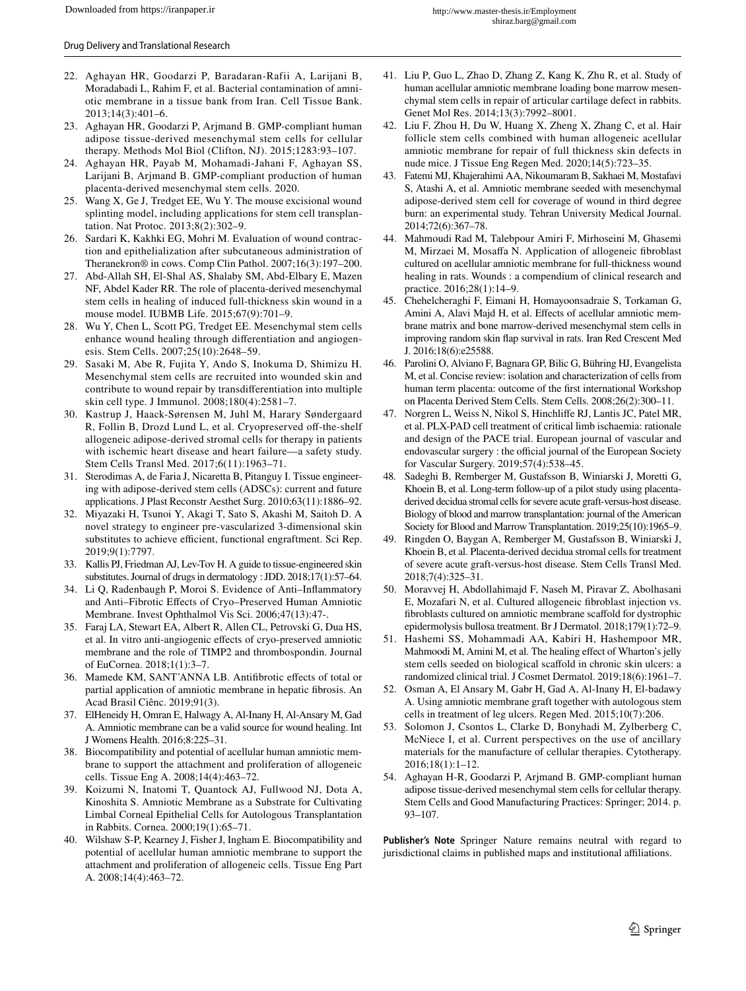- <span id="page-10-0"></span>22. Aghayan HR, Goodarzi P, Baradaran-Rafii A, Larijani B, Moradabadi L, Rahim F, et al. Bacterial contamination of amniotic membrane in a tissue bank from Iran. Cell Tissue Bank. 2013;14(3):401–6.
- <span id="page-10-2"></span>23. Aghayan HR, Goodarzi P, Arjmand B. GMP-compliant human adipose tissue-derived mesenchymal stem cells for cellular therapy. Methods Mol Biol (Clifton, NJ). 2015;1283:93–107.
- <span id="page-10-1"></span>24. Aghayan HR, Payab M, Mohamadi-Jahani F, Aghayan SS, Larijani B, Arjmand B. GMP-compliant production of human placenta-derived mesenchymal stem cells. 2020.
- <span id="page-10-3"></span>25. Wang X, Ge J, Tredget EE, Wu Y. The mouse excisional wound splinting model, including applications for stem cell transplantation. Nat Protoc. 2013;8(2):302–9.
- <span id="page-10-4"></span>26. Sardari K, Kakhki EG, Mohri M. Evaluation of wound contraction and epithelialization after subcutaneous administration of Theranekron® in cows. Comp Clin Pathol. 2007;16(3):197–200.
- <span id="page-10-5"></span>27. Abd-Allah SH, El-Shal AS, Shalaby SM, Abd-Elbary E, Mazen NF, Abdel Kader RR. The role of placenta-derived mesenchymal stem cells in healing of induced full-thickness skin wound in a mouse model. IUBMB Life. 2015;67(9):701–9.
- <span id="page-10-6"></span>28. Wu Y, Chen L, Scott PG, Tredget EE. Mesenchymal stem cells enhance wound healing through diferentiation and angiogenesis. Stem Cells. 2007;25(10):2648–59.
- <span id="page-10-7"></span>29. Sasaki M, Abe R, Fujita Y, Ando S, Inokuma D, Shimizu H. Mesenchymal stem cells are recruited into wounded skin and contribute to wound repair by transdiferentiation into multiple skin cell type. J Immunol. 2008;180(4):2581–7.
- <span id="page-10-8"></span>30. Kastrup J, Haack-Sørensen M, Juhl M, Harary Søndergaard R, Follin B, Drozd Lund L, et al. Cryopreserved off-the-shelf allogeneic adipose-derived stromal cells for therapy in patients with ischemic heart disease and heart failure—a safety study. Stem Cells Transl Med. 2017;6(11):1963–71.
- <span id="page-10-9"></span>31. Sterodimas A, de Faria J, Nicaretta B, Pitanguy I. Tissue engineering with adipose-derived stem cells (ADSCs): current and future applications. J Plast Reconstr Aesthet Surg. 2010;63(11):1886–92.
- <span id="page-10-10"></span>32. Miyazaki H, Tsunoi Y, Akagi T, Sato S, Akashi M, Saitoh D. A novel strategy to engineer pre-vascularized 3-dimensional skin substitutes to achieve efficient, functional engraftment. Sci Rep. 2019;9(1):7797.
- <span id="page-10-11"></span>33. Kallis PJ, Friedman AJ, Lev-Tov H. A guide to tissue-engineered skin substitutes. Journal of drugs in dermatology : JDD. 2018;17(1):57–64.
- <span id="page-10-12"></span>34. Li Q, Radenbaugh P, Moroi S. Evidence of Anti–Infammatory and Anti–Fibrotic Efects of Cryo–Preserved Human Amniotic Membrane. Invest Ophthalmol Vis Sci. 2006;47(13):47-.
- 35. Faraj LA, Stewart EA, Albert R, Allen CL, Petrovski G, Dua HS, et al. In vitro anti-angiogenic efects of cryo-preserved amniotic membrane and the role of TIMP2 and thrombospondin. Journal of EuCornea. 2018;1(1):3–7.
- 36. Mamede KM, SANT'ANNA LB. Antifbrotic efects of total or partial application of amniotic membrane in hepatic fbrosis. An Acad Brasil Ciênc. 2019;91(3).
- <span id="page-10-13"></span>37. ElHeneidy H, Omran E, Halwagy A, Al-Inany H, Al-Ansary M, Gad A. Amniotic membrane can be a valid source for wound healing. Int J Womens Health. 2016;8:225–31.
- <span id="page-10-14"></span>38. Biocompatibility and potential of acellular human amniotic membrane to support the attachment and proliferation of allogeneic cells. Tissue Eng A. 2008;14(4):463–72.
- 39. Koizumi N, Inatomi T, Quantock AJ, Fullwood NJ, Dota A, Kinoshita S. Amniotic Membrane as a Substrate for Cultivating Limbal Corneal Epithelial Cells for Autologous Transplantation in Rabbits. Cornea. 2000;19(1):65–71.
- 40. Wilshaw S-P, Kearney J, Fisher J, Ingham E. Biocompatibility and potential of acellular human amniotic membrane to support the attachment and proliferation of allogeneic cells. Tissue Eng Part A. 2008;14(4):463–72.
- 41. Liu P, Guo L, Zhao D, Zhang Z, Kang K, Zhu R, et al. Study of human acellular amniotic membrane loading bone marrow mesenchymal stem cells in repair of articular cartilage defect in rabbits. Genet Mol Res. 2014;13(3):7992–8001.
- <span id="page-10-15"></span>42. Liu F, Zhou H, Du W, Huang X, Zheng X, Zhang C, et al. Hair follicle stem cells combined with human allogeneic acellular amniotic membrane for repair of full thickness skin defects in nude mice. J Tissue Eng Regen Med. 2020;14(5):723–35.
- <span id="page-10-16"></span>43. Fatemi MJ, Khajerahimi AA, Nikoumaram B, Sakhaei M, Mostafavi S, Atashi A, et al. Amniotic membrane seeded with mesenchymal adipose-derived stem cell for coverage of wound in third degree burn: an experimental study. Tehran University Medical Journal. 2014;72(6):367–78.
- <span id="page-10-17"></span>44. Mahmoudi Rad M, Talebpour Amiri F, Mirhoseini M, Ghasemi M, Mirzaei M, Mosafa N. Application of allogeneic fbroblast cultured on acellular amniotic membrane for full-thickness wound healing in rats. Wounds : a compendium of clinical research and practice. 2016;28(1):14–9.
- <span id="page-10-18"></span>45. Chehelcheraghi F, Eimani H, Homayoonsadraie S, Torkaman G, Amini A, Alavi Majd H, et al. Effects of acellular amniotic membrane matrix and bone marrow-derived mesenchymal stem cells in improving random skin fap survival in rats. Iran Red Crescent Med J. 2016;18(6):e25588.
- <span id="page-10-19"></span>46. Parolini O, Alviano F, Bagnara GP, Bilic G, Bühring HJ, Evangelista M, et al. Concise review: isolation and characterization of cells from human term placenta: outcome of the frst international Workshop on Placenta Derived Stem Cells. Stem Cells. 2008;26(2):300–11.
- <span id="page-10-20"></span>47. Norgren L, Weiss N, Nikol S, Hinchlife RJ, Lantis JC, Patel MR, et al. PLX-PAD cell treatment of critical limb ischaemia: rationale and design of the PACE trial. European journal of vascular and endovascular surgery : the official journal of the European Society for Vascular Surgery. 2019;57(4):538–45.
- 48. Sadeghi B, Remberger M, Gustafsson B, Winiarski J, Moretti G, Khoein B, et al. Long-term follow-up of a pilot study using placentaderived decidua stromal cells for severe acute graft-versus-host disease. Biology of blood and marrow transplantation: journal of the American Society for Blood and Marrow Transplantation. 2019;25(10):1965–9.
- <span id="page-10-21"></span>49. Ringden O, Baygan A, Remberger M, Gustafsson B, Winiarski J, Khoein B, et al. Placenta-derived decidua stromal cells for treatment of severe acute graft-versus-host disease. Stem Cells Transl Med. 2018;7(4):325–31.
- <span id="page-10-22"></span>50. Moravvej H, Abdollahimajd F, Naseh M, Piravar Z, Abolhasani E, Mozafari N, et al. Cultured allogeneic fbroblast injection vs. fbroblasts cultured on amniotic membrane scafold for dystrophic epidermolysis bullosa treatment. Br J Dermatol. 2018;179(1):72–9.
- <span id="page-10-23"></span>51. Hashemi SS, Mohammadi AA, Kabiri H, Hashempoor MR, Mahmoodi M, Amini M, et al. The healing efect of Wharton's jelly stem cells seeded on biological scafold in chronic skin ulcers: a randomized clinical trial. J Cosmet Dermatol. 2019;18(6):1961–7.
- <span id="page-10-24"></span>52. Osman A, El Ansary M, Gabr H, Gad A, Al-Inany H, El-badawy A. Using amniotic membrane graft together with autologous stem cells in treatment of leg ulcers. Regen Med. 2015;10(7):206.
- <span id="page-10-25"></span>53. Solomon J, Csontos L, Clarke D, Bonyhadi M, Zylberberg C, McNiece I, et al. Current perspectives on the use of ancillary materials for the manufacture of cellular therapies. Cytotherapy. 2016;18(1):1–12.
- <span id="page-10-26"></span>54. Aghayan H-R, Goodarzi P, Arjmand B. GMP-compliant human adipose tissue-derived mesenchymal stem cells for cellular therapy. Stem Cells and Good Manufacturing Practices: Springer; 2014. p. 93–107.

**Publisher's Note** Springer Nature remains neutral with regard to jurisdictional claims in published maps and institutional affiliations.